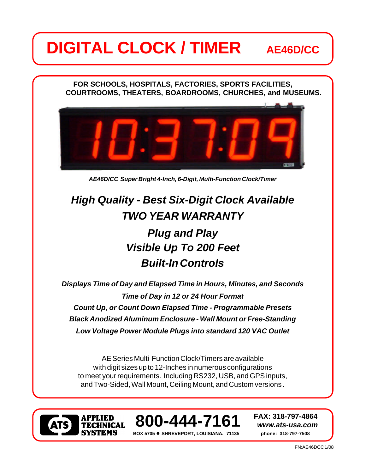# **DIGITAL CLOCK / TIMER** AE46D/CC

**FOR SCHOOLS, HOSPITALS, FACTORIES, SPORTS FACILITIES, COURTROOMS, THEATERS, BOARDROOMS, CHURCHES, and MUSEUMS.**



*AE46D/CC Super Bright 4-Inch, 6-Digit, Multi-Function Clock/Timer*

## *Plug and Play TWO YEAR WARRANTY High Quality - Best Six-Digit Clock Available*

### *Visible Up To 200 Feet Built-In Controls*

*Time of Day in 12 or 24 Hour Format Displays Time of Day and Elapsed Time in Hours, Minutes, and Seconds Count Up, or Count Down Elapsed Time - Programmable Presets Black Anodized Aluminum Enclosure - Wall Mount or Free-Standing Low Voltage Power Module Plugs into standard 120 VAC Outlet*

AE Series Multi-Function Clock/Timers are available with digit sizes up to 12-Inches in numerous configurations to meet your requirements. Including RS232, USB, and GPS inputs, and Two-Sided, Wall Mount, Ceiling Mount, and Custom versions .





**BOX 5705** l **SHREVEPORT, LOUISIANA. 71135 phone: 318-797-7508**

**FAX: 318-797-4864**